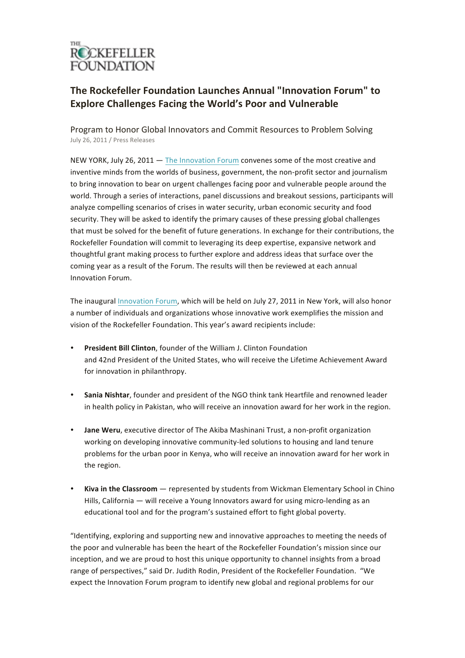

## **The Rockefeller Foundation Launches Annual "Innovation Forum" to Explore Challenges Facing the World's Poor and Vulnerable**

Program to Honor Global Innovators and Commit Resources to Problem Solving July 26, 2011 / Press Releases

NEW YORK, July 26, 2011  $-$  The Innovation Forum convenes some of the most creative and inventive minds from the worlds of business, government, the non-profit sector and journalism to bring innovation to bear on urgent challenges facing poor and vulnerable people around the world. Through a series of interactions, panel discussions and breakout sessions, participants will analyze compelling scenarios of crises in water security, urban economic security and food security. They will be asked to identify the primary causes of these pressing global challenges that must be solved for the benefit of future generations. In exchange for their contributions, the Rockefeller Foundation will commit to leveraging its deep expertise, expansive network and thoughtful grant making process to further explore and address ideas that surface over the coming year as a result of the Forum. The results will then be reviewed at each annual Innovation Forum.

The inaugural Innovation Forum, which will be held on July 27, 2011 in New York, will also honor a number of individuals and organizations whose innovative work exemplifies the mission and vision of the Rockefeller Foundation. This year's award recipients include:

- **President Bill Clinton**, founder of the William J. Clinton Foundation and 42nd President of the United States, who will receive the Lifetime Achievement Award for innovation in philanthropy.
- Sania Nishtar, founder and president of the NGO think tank Heartfile and renowned leader in health policy in Pakistan, who will receive an innovation award for her work in the region.
- **Jane Weru**, executive director of The Akiba Mashinani Trust, a non-profit organization working on developing innovative community-led solutions to housing and land tenure problems for the urban poor in Kenya, who will receive an innovation award for her work in the region.
- **Kiva in the Classroom** represented by students from Wickman Elementary School in Chino Hills, California — will receive a Young Innovators award for using micro-lending as an educational tool and for the program's sustained effort to fight global poverty.

"Identifying, exploring and supporting new and innovative approaches to meeting the needs of the poor and vulnerable has been the heart of the Rockefeller Foundation's mission since our inception, and we are proud to host this unique opportunity to channel insights from a broad range of perspectives," said Dr. Judith Rodin, President of the Rockefeller Foundation. "We expect the Innovation Forum program to identify new global and regional problems for our